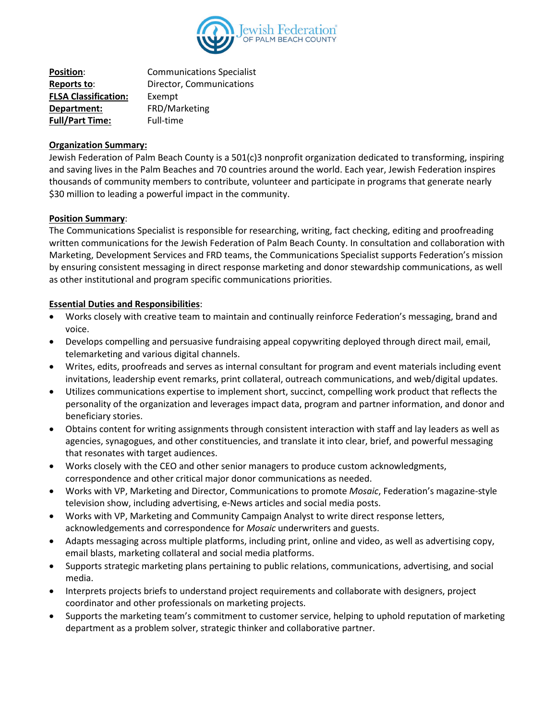

| <b>Position:</b>            | <b>Communications Specialist</b> |
|-----------------------------|----------------------------------|
| Reports to:                 | Director, Communications         |
| <b>FLSA Classification:</b> | Exempt                           |
| Department:                 | FRD/Marketing                    |
| <b>Full/Part Time:</b>      | Full-time                        |

## **Organization Summary:**

Jewish Federation of Palm Beach County is a 501(c)3 nonprofit organization dedicated to transforming, inspiring and saving lives in the Palm Beaches and 70 countries around the world. Each year, Jewish Federation inspires thousands of community members to contribute, volunteer and participate in programs that generate nearly \$30 million to leading a powerful impact in the community.

## **Position Summary**:

The Communications Specialist is responsible for researching, writing, fact checking, editing and proofreading written communications for the Jewish Federation of Palm Beach County. In consultation and collaboration with Marketing, Development Services and FRD teams, the Communications Specialist supports Federation's mission by ensuring consistent messaging in direct response marketing and donor stewardship communications, as well as other institutional and program specific communications priorities.

## **Essential Duties and Responsibilities**:

- Works closely with creative team to maintain and continually reinforce Federation's messaging, brand and voice.
- Develops compelling and persuasive fundraising appeal copywriting deployed through direct mail, email, telemarketing and various digital channels.
- Writes, edits, proofreads and serves as internal consultant for program and event materials including event invitations, leadership event remarks, print collateral, outreach communications, and web/digital updates.
- Utilizes communications expertise to implement short, succinct, compelling work product that reflects the personality of the organization and leverages impact data, program and partner information, and donor and beneficiary stories.
- Obtains content for writing assignments through consistent interaction with staff and lay leaders as well as agencies, synagogues, and other constituencies, and translate it into clear, brief, and powerful messaging that resonates with target audiences.
- Works closely with the CEO and other senior managers to produce custom acknowledgments, correspondence and other critical major donor communications as needed.
- Works with VP, Marketing and Director, Communications to promote *Mosaic*, Federation's magazine-style television show, including advertising, e-News articles and social media posts.
- Works with VP, Marketing and Community Campaign Analyst to write direct response letters, acknowledgements and correspondence for *Mosaic* underwriters and guests.
- Adapts messaging across multiple platforms, including print, online and video, as well as advertising copy, email blasts, marketing collateral and social media platforms.
- Supports strategic marketing plans pertaining to public relations, communications, advertising, and social media.
- Interprets projects briefs to understand project requirements and collaborate with designers, project coordinator and other professionals on marketing projects.
- Supports the marketing team's commitment to customer service, helping to uphold reputation of marketing department as a problem solver, strategic thinker and collaborative partner.